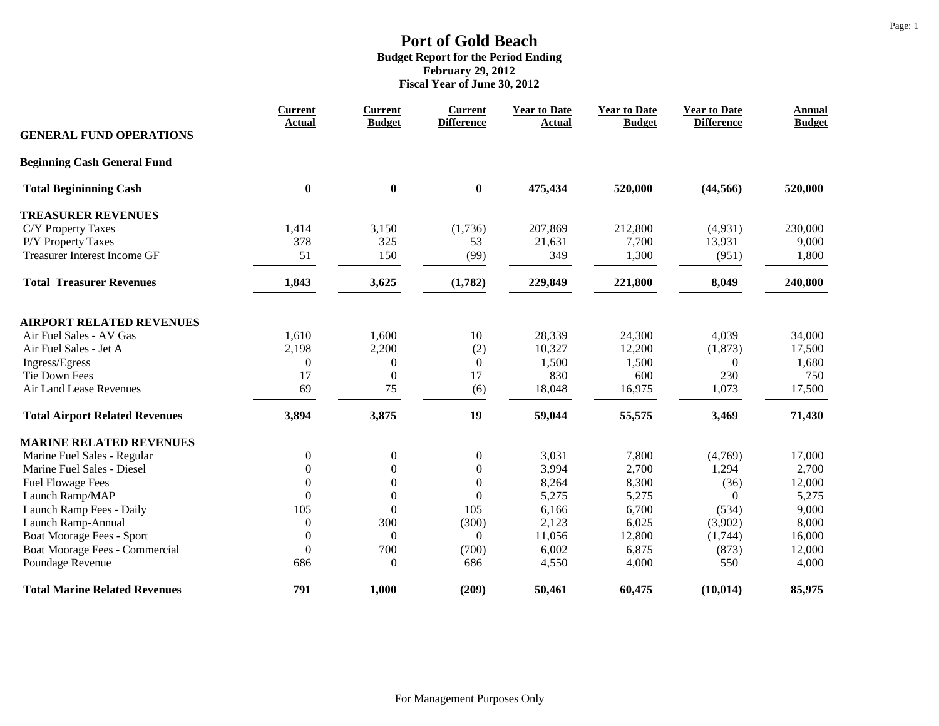|                                       | <b>Current</b><br><b>Actual</b> | <b>Current</b><br><b>Budget</b> | <b>Current</b><br><b>Difference</b> | <b>Year to Date</b><br><b>Actual</b> | <b>Year to Date</b><br><b>Budget</b> | <b>Year to Date</b><br><b>Difference</b> | <b>Annual</b><br><b>Budget</b> |
|---------------------------------------|---------------------------------|---------------------------------|-------------------------------------|--------------------------------------|--------------------------------------|------------------------------------------|--------------------------------|
| <b>GENERAL FUND OPERATIONS</b>        |                                 |                                 |                                     |                                      |                                      |                                          |                                |
| <b>Beginning Cash General Fund</b>    |                                 |                                 |                                     |                                      |                                      |                                          |                                |
| <b>Total Begininning Cash</b>         | $\bf{0}$                        | $\bf{0}$                        | $\bf{0}$                            | 475,434                              | 520,000                              | (44, 566)                                | 520,000                        |
| <b>TREASURER REVENUES</b>             |                                 |                                 |                                     |                                      |                                      |                                          |                                |
| C/Y Property Taxes                    | 1,414                           | 3,150                           | (1,736)                             | 207,869                              | 212,800                              | (4,931)                                  | 230,000                        |
| P/Y Property Taxes                    | 378                             | 325                             | 53                                  | 21,631                               | 7,700                                | 13,931                                   | 9,000                          |
| Treasurer Interest Income GF          | 51                              | 150                             | (99)                                | 349                                  | 1,300                                | (951)                                    | 1,800                          |
| <b>Total Treasurer Revenues</b>       | 1,843                           | 3,625                           | (1,782)                             | 229,849                              | 221,800                              | 8,049                                    | 240,800                        |
| <b>AIRPORT RELATED REVENUES</b>       |                                 |                                 |                                     |                                      |                                      |                                          |                                |
| Air Fuel Sales - AV Gas               | 1,610                           | 1,600                           | 10                                  | 28,339                               | 24,300                               | 4,039                                    | 34,000                         |
| Air Fuel Sales - Jet A                | 2,198                           | 2,200                           | (2)                                 | 10,327                               | 12,200                               | (1, 873)                                 | 17,500                         |
| Ingress/Egress                        | $\overline{0}$                  | $\boldsymbol{0}$                | $\boldsymbol{0}$                    | 1,500                                | 1,500                                | $\Omega$                                 | 1,680                          |
| Tie Down Fees                         | 17                              | $\theta$                        | 17                                  | 830                                  | 600                                  | 230                                      | 750                            |
| Air Land Lease Revenues               | 69                              | 75                              | (6)                                 | 18,048                               | 16,975                               | 1,073                                    | 17,500                         |
| <b>Total Airport Related Revenues</b> | 3,894                           | 3,875                           | 19                                  | 59,044                               | 55,575                               | 3,469                                    | 71,430                         |
| <b>MARINE RELATED REVENUES</b>        |                                 |                                 |                                     |                                      |                                      |                                          |                                |
| Marine Fuel Sales - Regular           | $\boldsymbol{0}$                | $\boldsymbol{0}$                | $\boldsymbol{0}$                    | 3,031                                | 7,800                                | (4,769)                                  | 17,000                         |
| Marine Fuel Sales - Diesel            | $\overline{0}$                  | $\boldsymbol{0}$                | $\boldsymbol{0}$                    | 3,994                                | 2,700                                | 1,294                                    | 2,700                          |
| <b>Fuel Flowage Fees</b>              | $\boldsymbol{0}$                | $\boldsymbol{0}$                | $\boldsymbol{0}$                    | 8,264                                | 8,300                                | (36)                                     | 12,000                         |
| Launch Ramp/MAP                       | $\overline{0}$                  | $\boldsymbol{0}$                | $\boldsymbol{0}$                    | 5,275                                | 5,275                                | $\Omega$                                 | 5,275                          |
| Launch Ramp Fees - Daily              | 105                             | $\mathbf{0}$                    | 105                                 | 6,166                                | 6,700                                | (534)                                    | 9,000                          |
| Launch Ramp-Annual                    | $\overline{0}$                  | 300                             | (300)                               | 2,123                                | 6,025                                | (3,902)                                  | 8,000                          |
| Boat Moorage Fees - Sport             | $\mathbf{0}$                    | $\boldsymbol{0}$                | $\boldsymbol{0}$                    | 11,056                               | 12,800                               | (1,744)                                  | 16,000                         |
| Boat Moorage Fees - Commercial        | $\mathbf{0}$                    | 700                             | (700)                               | 6,002                                | 6,875                                | (873)                                    | 12,000                         |
| Poundage Revenue                      | 686                             | $\boldsymbol{0}$                | 686                                 | 4,550                                | 4,000                                | 550                                      | 4,000                          |
| <b>Total Marine Related Revenues</b>  | 791                             | 1,000                           | (209)                               | 50,461                               | 60,475                               | (10, 014)                                | 85,975                         |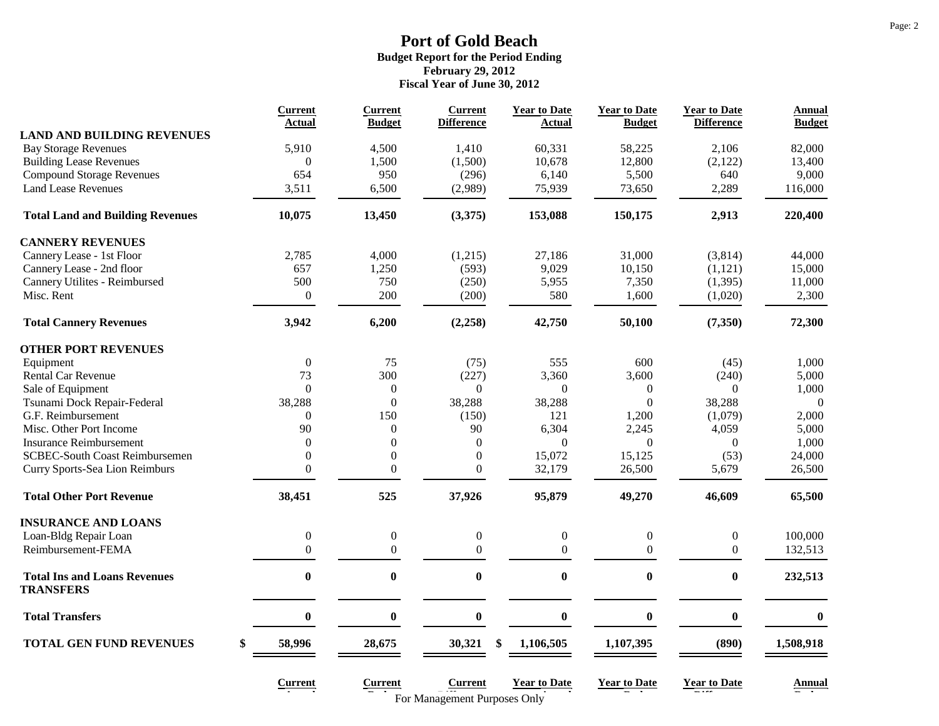|                                                         | <b>Current</b><br>Actual | <b>Current</b><br><b>Budget</b> | <b>Current</b><br><b>Difference</b>                   | <b>Year to Date</b><br>Actual | <b>Year to Date</b><br><b>Budget</b> | <b>Year to Date</b><br><b>Difference</b> | Annual<br><b>Budget</b> |
|---------------------------------------------------------|--------------------------|---------------------------------|-------------------------------------------------------|-------------------------------|--------------------------------------|------------------------------------------|-------------------------|
| <b>LAND AND BUILDING REVENUES</b>                       |                          |                                 |                                                       |                               |                                      |                                          |                         |
| <b>Bay Storage Revenues</b>                             | 5,910                    | 4,500                           | 1,410                                                 | 60,331                        | 58,225                               | 2,106                                    | 82,000                  |
| <b>Building Lease Revenues</b>                          | $\overline{0}$           | 1,500                           | (1,500)                                               | 10,678                        | 12,800                               | (2,122)                                  | 13,400                  |
| <b>Compound Storage Revenues</b>                        | 654                      | 950                             | (296)                                                 | 6,140                         | 5,500                                | 640                                      | 9,000                   |
| <b>Land Lease Revenues</b>                              | 3,511                    | 6,500                           | (2,989)                                               | 75,939                        | 73,650                               | 2,289                                    | 116,000                 |
| <b>Total Land and Building Revenues</b>                 | 10,075                   | 13,450                          | (3,375)                                               | 153,088                       | 150,175                              | 2,913                                    | 220,400                 |
| <b>CANNERY REVENUES</b>                                 |                          |                                 |                                                       |                               |                                      |                                          |                         |
| Cannery Lease - 1st Floor                               | 2,785                    | 4,000                           | (1,215)                                               | 27,186                        | 31,000                               | (3,814)                                  | 44,000                  |
| Cannery Lease - 2nd floor                               | 657                      | 1,250                           | (593)                                                 | 9,029                         | 10,150                               | (1, 121)                                 | 15,000                  |
| Cannery Utilites - Reimbursed                           | 500                      | 750                             | (250)                                                 | 5,955                         | 7,350                                | (1, 395)                                 | 11,000                  |
| Misc. Rent                                              | $\boldsymbol{0}$         | 200                             | (200)                                                 | 580                           | 1,600                                | (1,020)                                  | 2,300                   |
| <b>Total Cannery Revenues</b>                           | 3,942                    | 6,200                           | (2, 258)                                              | 42,750                        | 50,100                               | (7, 350)                                 | 72,300                  |
| <b>OTHER PORT REVENUES</b>                              |                          |                                 |                                                       |                               |                                      |                                          |                         |
| Equipment                                               | $\boldsymbol{0}$         | 75                              | (75)                                                  | 555                           | 600                                  | (45)                                     | 1,000                   |
| <b>Rental Car Revenue</b>                               | 73                       | 300                             | (227)                                                 | 3,360                         | 3,600                                | (240)                                    | 5,000                   |
| Sale of Equipment                                       | $\theta$                 | $\boldsymbol{0}$                | $\boldsymbol{0}$                                      | $\boldsymbol{0}$              | $\mathbf{0}$                         | $\Omega$                                 | 1,000                   |
| Tsunami Dock Repair-Federal                             | 38,288                   | $\overline{0}$                  | 38,288                                                | 38,288                        | $\overline{0}$                       | 38,288                                   | $\Omega$                |
| G.F. Reimbursement                                      | $\Omega$                 | 150                             | (150)                                                 | 121                           | 1,200                                | (1,079)                                  | 2,000                   |
| Misc. Other Port Income                                 | 90                       | $\boldsymbol{0}$                | 90                                                    | 6,304                         | 2,245                                | 4,059                                    | 5,000                   |
| <b>Insurance Reimbursement</b>                          | $\theta$                 | $\boldsymbol{0}$                | $\overline{0}$                                        | $\Omega$                      | $\overline{0}$                       | $\theta$                                 | 1,000                   |
| <b>SCBEC-South Coast Reimbursemen</b>                   | $\mathbf{0}$             | $\boldsymbol{0}$                | $\mathbf{0}$                                          | 15,072                        | 15,125                               | (53)                                     | 24,000                  |
| Curry Sports-Sea Lion Reimburs                          | $\overline{0}$           | $\boldsymbol{0}$                | $\boldsymbol{0}$                                      | 32,179                        | 26,500                               | 5,679                                    | 26,500                  |
| <b>Total Other Port Revenue</b>                         | 38,451                   | 525                             | 37,926                                                | 95,879                        | 49,270                               | 46,609                                   | 65,500                  |
| <b>INSURANCE AND LOANS</b>                              |                          |                                 |                                                       |                               |                                      |                                          |                         |
| Loan-Bldg Repair Loan                                   | $\boldsymbol{0}$         | $\boldsymbol{0}$                | $\boldsymbol{0}$                                      | $\boldsymbol{0}$              | $\boldsymbol{0}$                     | $\boldsymbol{0}$                         | 100,000                 |
| Reimbursement-FEMA                                      | $\overline{0}$           | $\boldsymbol{0}$                | $\Omega$                                              | $\overline{0}$                | $\overline{0}$                       | $\mathbf{0}$                             | 132,513                 |
| <b>Total Ins and Loans Revenues</b><br><b>TRANSFERS</b> | $\bf{0}$                 | $\bf{0}$                        | $\bf{0}$                                              | $\bf{0}$                      | $\bf{0}$                             | $\bf{0}$                                 | 232,513                 |
| <b>Total Transfers</b>                                  | $\bf{0}$                 | $\boldsymbol{0}$                | $\bf{0}$                                              | $\boldsymbol{0}$              | $\bf{0}$                             | $\boldsymbol{0}$                         | $\bf{0}$                |
| <b>TOTAL GEN FUND REVENUES</b><br>\$                    | 58,996                   | 28,675                          | 30,321<br>\$                                          | 1,106,505                     | 1,107,395                            | (890)                                    | 1,508,918               |
|                                                         | Current                  | <b>Current</b>                  | <b>Current</b><br><b>For Management Purnoses Only</b> | <b>Year to Date</b>           | <b>Year to Date</b>                  | <b>Year to Date</b>                      | Annual                  |

**Budgetting For Management Purposes Only <b>Budgetting Concernsion**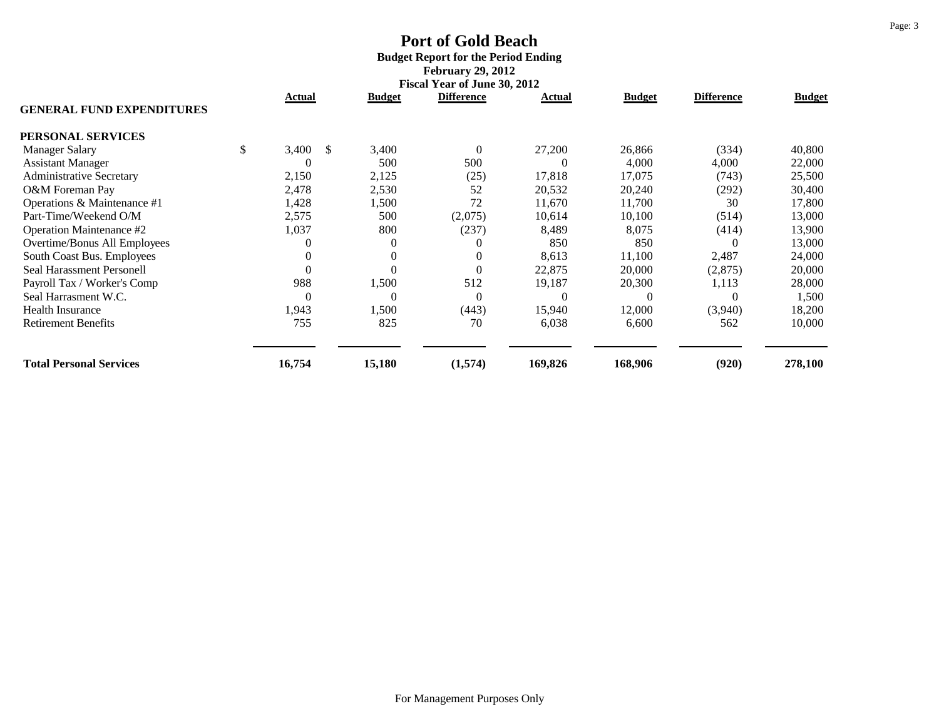# **Port of Gold Beach Budget Report for the Period Ending February 29, 2012**

|                                  |             |    |               | Fiscal Year of June 30, 2012 |         |               |                   |               |
|----------------------------------|-------------|----|---------------|------------------------------|---------|---------------|-------------------|---------------|
| <b>GENERAL FUND EXPENDITURES</b> | Actual      |    | <b>Budget</b> | <b>Difference</b>            | Actual  | <b>Budget</b> | <b>Difference</b> | <b>Budget</b> |
| PERSONAL SERVICES                |             |    |               |                              |         |               |                   |               |
| <b>Manager Salary</b>            | \$<br>3,400 | -S | 3,400         | $\boldsymbol{0}$             | 27,200  | 26,866        | (334)             | 40,800        |
| <b>Assistant Manager</b>         | $\theta$    |    | 500           | 500                          | 0       | 4,000         | 4,000             | 22,000        |
| <b>Administrative Secretary</b>  | 2,150       |    | 2,125         | (25)                         | 17,818  | 17,075        | (743)             | 25,500        |
| O&M Foreman Pay                  | 2,478       |    | 2,530         | 52                           | 20,532  | 20,240        | (292)             | 30,400        |
| Operations & Maintenance #1      | 1,428       |    | 1,500         | 72                           | 11,670  | 11,700        | 30                | 17,800        |
| Part-Time/Weekend O/M            | 2,575       |    | 500           | (2,075)                      | 10,614  | 10,100        | (514)             | 13,000        |
| Operation Maintenance #2         | 1,037       |    | 800           | (237)                        | 8,489   | 8,075         | (414)             | 13,900        |
| Overtime/Bonus All Employees     | 0           |    |               | $\Omega$                     | 850     | 850           | $\Omega$          | 13,000        |
| South Coast Bus. Employees       | $\theta$    |    | $\theta$      | $\theta$                     | 8,613   | 11,100        | 2,487             | 24,000        |
| Seal Harassment Personell        | $\theta$    |    |               | $\overline{0}$               | 22,875  | 20,000        | (2,875)           | 20,000        |
| Payroll Tax / Worker's Comp      | 988         |    | 1,500         | 512                          | 19,187  | 20,300        | 1,113             | 28,000        |
| Seal Harrasment W.C.             | $\theta$    |    | $\Omega$      | $\overline{0}$               | 0       |               | $\theta$          | 1,500         |
| <b>Health Insurance</b>          | 1,943       |    | 1,500         | (443)                        | 15,940  | 12,000        | (3,940)           | 18,200        |
| <b>Retirement Benefits</b>       | 755         |    | 825           | 70                           | 6,038   | 6,600         | 562               | 10,000        |
| <b>Total Personal Services</b>   | 16,754      |    | 15,180        | (1,574)                      | 169,826 | 168,906       | (920)             | 278,100       |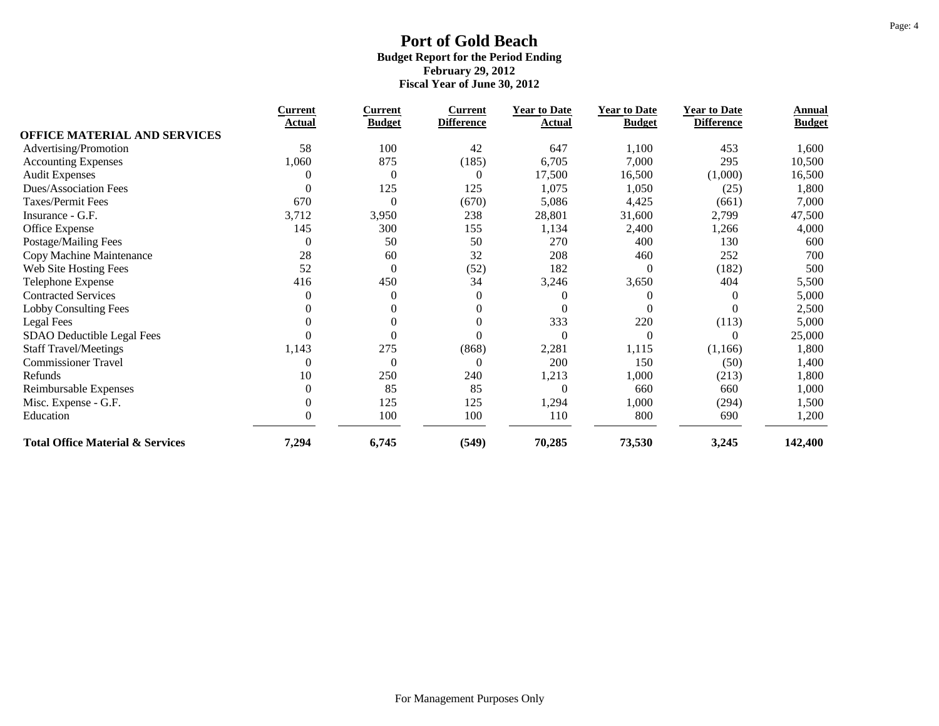|                                             | <b>Current</b>   | <b>Current</b>   | <b>Current</b>    | <b>Year to Date</b> | <b>Year to Date</b> | <b>Year to Date</b> | Annual        |
|---------------------------------------------|------------------|------------------|-------------------|---------------------|---------------------|---------------------|---------------|
|                                             | Actual           | <b>Budget</b>    | <b>Difference</b> | Actual              | <b>Budget</b>       | <b>Difference</b>   | <b>Budget</b> |
| <b>OFFICE MATERIAL AND SERVICES</b>         |                  |                  |                   |                     |                     |                     |               |
| Advertising/Promotion                       | 58               | 100              | 42                | 647                 | 1,100               | 453                 | 1,600         |
| <b>Accounting Expenses</b>                  | 1,060            | 875              | (185)             | 6,705               | 7,000               | 295                 | 10,500        |
| <b>Audit Expenses</b>                       | 0                | $\overline{0}$   | $\overline{0}$    | 17,500              | 16,500              | (1,000)             | 16,500        |
| <b>Dues/Association Fees</b>                | $\overline{0}$   | 125              | 125               | 1,075               | 1,050               | (25)                | 1,800         |
| Taxes/Permit Fees                           | 670              | $\theta$         | (670)             | 5,086               | 4,425               | (661)               | 7,000         |
| Insurance - G.F.                            | 3,712            | 3,950            | 238               | 28,801              | 31,600              | 2,799               | 47,500        |
| Office Expense                              | 145              | 300              | 155               | 1,134               | 2,400               | 1,266               | 4,000         |
| Postage/Mailing Fees                        | $\boldsymbol{0}$ | 50               | 50                | 270                 | 400                 | 130                 | 600           |
| Copy Machine Maintenance                    | 28               | 60               | 32                | 208                 | 460                 | 252                 | 700           |
| Web Site Hosting Fees                       | 52               | $\boldsymbol{0}$ | (52)              | 182                 | $\Omega$            | (182)               | 500           |
| Telephone Expense                           | 416              | 450              | 34                | 3,246               | 3,650               | 404                 | 5,500         |
| <b>Contracted Services</b>                  | $\overline{0}$   | $\theta$         | $\overline{0}$    |                     |                     | $\theta$            | 5,000         |
| <b>Lobby Consulting Fees</b>                |                  |                  | $\theta$          |                     |                     | $\Omega$            | 2,500         |
| <b>Legal Fees</b>                           |                  | 0                | $\theta$          | 333                 | 220                 | (113)               | 5,000         |
| SDAO Deductible Legal Fees                  | $\theta$         |                  | $\Omega$          | $\theta$            | $\theta$            | $\Omega$            | 25,000        |
| <b>Staff Travel/Meetings</b>                | 1,143            | 275              | (868)             | 2,281               | 1,115               | (1, 166)            | 1,800         |
| <b>Commissioner Travel</b>                  | $\overline{0}$   | $\theta$         | $\overline{0}$    | 200                 | 150                 | (50)                | 1,400         |
| Refunds                                     | 10               | 250              | 240               | 1,213               | 1,000               | (213)               | 1,800         |
| Reimbursable Expenses                       | $\overline{0}$   | 85               | 85                | $\Omega$            | 660                 | 660                 | 1,000         |
| Misc. Expense - G.F.                        | $\overline{0}$   | 125              | 125               | 1,294               | 1,000               | (294)               | 1,500         |
| Education                                   | $\overline{0}$   | 100              | 100               | 110                 | 800                 | 690                 | 1,200         |
| <b>Total Office Material &amp; Services</b> | 7,294            | 6,745            | (549)             | 70,285              | 73,530              | 3,245               | 142,400       |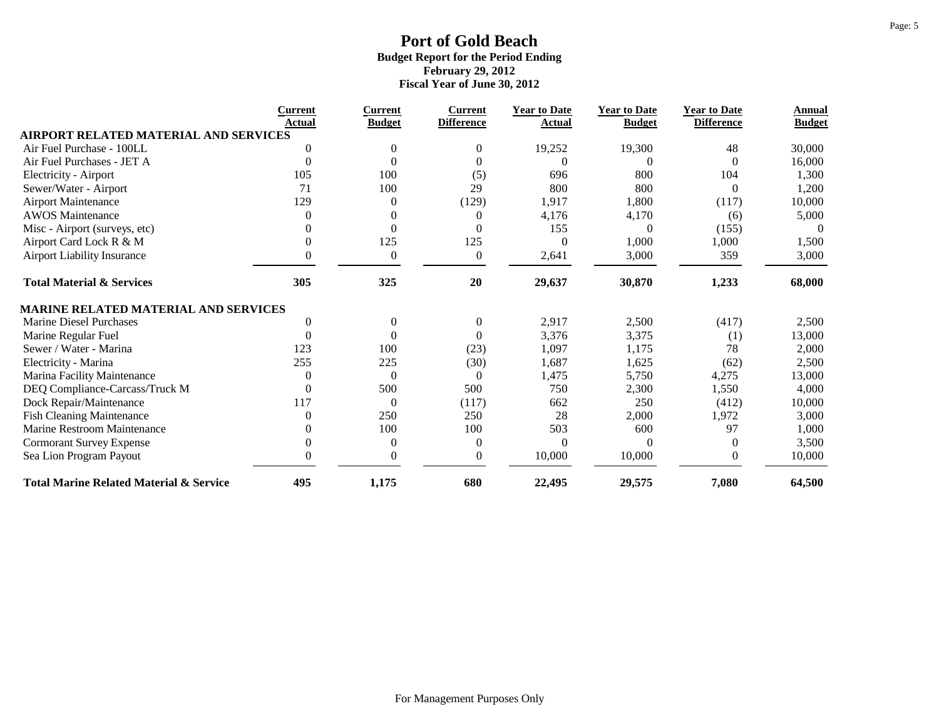|                                                    | Current  | <b>Current</b>   | <b>Current</b>    | <b>Year to Date</b> | <b>Year to Date</b> | <b>Year to Date</b> | Annual        |
|----------------------------------------------------|----------|------------------|-------------------|---------------------|---------------------|---------------------|---------------|
| <b>AIRPORT RELATED MATERIAL AND SERVICES</b>       | Actual   | <b>Budget</b>    | <b>Difference</b> | Actual              | <b>Budget</b>       | <b>Difference</b>   | <b>Budget</b> |
| Air Fuel Purchase - 100LL                          |          | $\Omega$         | $\theta$          | 19,252              | 19,300              | 48                  | 30,000        |
| Air Fuel Purchases - JET A                         | $\Omega$ | $\Omega$         | $\Omega$          | 0                   |                     | $\Omega$            | 16,000        |
| Electricity - Airport                              | 105      | 100              | (5)               | 696                 | 800                 | 104                 | 1,300         |
| Sewer/Water - Airport                              | 71       | 100              | 29                | 800                 | 800                 | $\Omega$            | 1,200         |
| <b>Airport Maintenance</b>                         | 129      | 0                | (129)             | 1,917               | 1,800               | (117)               | 10,000        |
| <b>AWOS</b> Maintenance                            |          | 0                | $\theta$          | 4,176               | 4,170               | (6)                 | 5,000         |
| Misc - Airport (surveys, etc)                      |          | $\Omega$         | $\theta$          | 155                 | $\Omega$            | (155)               | $\theta$      |
| Airport Card Lock R & M                            |          | 125              | 125               | $\Omega$            | 1,000               | 1,000               | 1,500         |
| <b>Airport Liability Insurance</b>                 | $\Omega$ | $\theta$         | $\boldsymbol{0}$  | 2,641               | 3,000               | 359                 | 3,000         |
| <b>Total Material &amp; Services</b>               | 305      | 325              | 20                | 29,637              | 30,870              | 1,233               | 68,000        |
| <b>MARINE RELATED MATERIAL AND SERVICES</b>        |          |                  |                   |                     |                     |                     |               |
| Marine Diesel Purchases                            | 0        | $\boldsymbol{0}$ | $\boldsymbol{0}$  | 2,917               | 2,500               | (417)               | 2,500         |
| Marine Regular Fuel                                | $\Omega$ | $\Omega$         | $\overline{0}$    | 3,376               | 3,375               | (1)                 | 13,000        |
| Sewer / Water - Marina                             | 123      | 100              | (23)              | 1,097               | 1,175               | 78                  | 2,000         |
| Electricity - Marina                               | 255      | 225              | (30)              | 1,687               | 1,625               | (62)                | 2,500         |
| Marina Facility Maintenance                        |          | $\theta$         | $\theta$          | 1,475               | 5,750               | 4,275               | 13,000        |
| DEQ Compliance-Carcass/Truck M                     | 0        | 500              | 500               | 750                 | 2,300               | 1,550               | 4,000         |
| Dock Repair/Maintenance                            | 117      | $\overline{0}$   | (117)             | 662                 | 250                 | (412)               | 10,000        |
| <b>Fish Cleaning Maintenance</b>                   |          | 250              | 250               | 28                  | 2,000               | 1,972               | 3,000         |
| Marine Restroom Maintenance                        |          | 100              | 100               | 503                 | 600                 | 97                  | 1,000         |
| <b>Cormorant Survey Expense</b>                    | $\Omega$ | $\theta$         | $\overline{0}$    | $\Omega$            |                     | $\Omega$            | 3,500         |
| Sea Lion Program Payout                            | $\theta$ | $\overline{0}$   | $\boldsymbol{0}$  | 10,000              | 10,000              | $\mathbf{0}$        | 10,000        |
| <b>Total Marine Related Material &amp; Service</b> | 495      | 1,175            | 680               | 22,495              | 29,575              | 7,080               | 64,500        |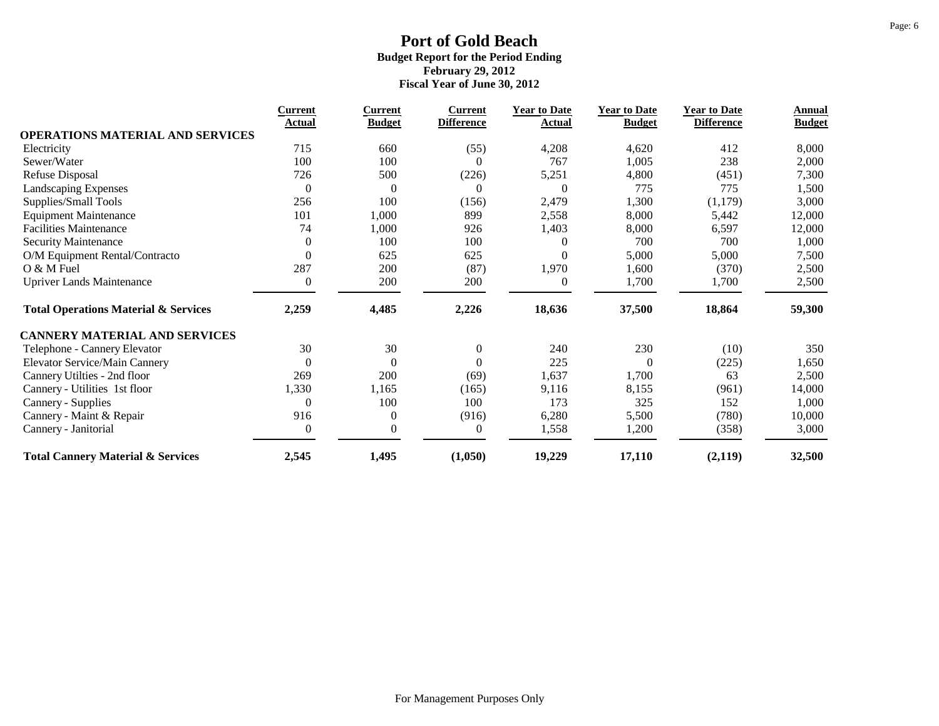|                                                 | <b>Current</b>   | <b>Current</b>   | <u>Current</u>    | <b>Year to Date</b> | <b>Year to Date</b> | <b>Year to Date</b> | Annual        |
|-------------------------------------------------|------------------|------------------|-------------------|---------------------|---------------------|---------------------|---------------|
| <b>OPERATIONS MATERIAL AND SERVICES</b>         | Actual           | <b>Budget</b>    | <b>Difference</b> | Actual              | <b>Budget</b>       | <b>Difference</b>   | <b>Budget</b> |
| Electricity                                     | 715              | 660              | (55)              | 4,208               | 4,620               | 412                 | 8,000         |
| Sewer/Water                                     | 100              | 100              | $\mathbf{0}$      | 767                 | 1,005               | 238                 | 2,000         |
| Refuse Disposal                                 | 726              | 500              | (226)             | 5,251               | 4,800               | (451)               | 7,300         |
| Landscaping Expenses                            | $\boldsymbol{0}$ | $\boldsymbol{0}$ | $\mathbf{0}$      | $\theta$            | 775                 | 775                 | 1,500         |
| Supplies/Small Tools                            | 256              | 100              | (156)             | 2,479               | 1,300               | (1,179)             | 3,000         |
| <b>Equipment Maintenance</b>                    | 101              | 1,000            | 899               | 2,558               | 8,000               | 5,442               | 12,000        |
| <b>Facilities Maintenance</b>                   | 74               | 1,000            | 926               | 1,403               | 8,000               | 6,597               | 12,000        |
| Security Maintenance                            | $\theta$         | 100              | 100               | 0                   | 700                 | 700                 | 1,000         |
| O/M Equipment Rental/Contracto                  | $\theta$         | 625              | 625               | 0                   | 5,000               | 5,000               | 7,500         |
| O & M Fuel                                      | 287              | 200              | (87)              | 1,970               | 1,600               | (370)               | 2,500         |
| <b>Upriver Lands Maintenance</b>                | $\overline{0}$   | 200              | 200               | $\theta$            | 1,700               | 1,700               | 2,500         |
| <b>Total Operations Material &amp; Services</b> | 2,259            | 4,485            | 2,226             | 18,636              | 37,500              | 18,864              | 59,300        |
| <b>CANNERY MATERIAL AND SERVICES</b>            |                  |                  |                   |                     |                     |                     |               |
| Telephone - Cannery Elevator                    | 30               | 30               | $\boldsymbol{0}$  | 240                 | 230                 | (10)                | 350           |
| Elevator Service/Main Cannery                   | $\overline{0}$   | $\boldsymbol{0}$ | $\boldsymbol{0}$  | 225                 | $\Omega$            | (225)               | 1,650         |
| Cannery Utilties - 2nd floor                    | 269              | 200              | (69)              | 1,637               | 1,700               | 63                  | 2,500         |
| Cannery - Utilities 1st floor                   | 1,330            | 1,165            | (165)             | 9,116               | 8,155               | (961)               | 14,000        |
| Cannery - Supplies                              | $\theta$         | 100              | 100               | 173                 | 325                 | 152                 | 1,000         |
| Cannery - Maint & Repair                        | 916              | $\boldsymbol{0}$ | (916)             | 6,280               | 5,500               | (780)               | 10,000        |
| Cannery - Janitorial                            | $\boldsymbol{0}$ | 0                | $\boldsymbol{0}$  | 1,558               | 1,200               | (358)               | 3,000         |
| <b>Total Cannery Material &amp; Services</b>    | 2,545            | 1,495            | (1,050)           | 19,229              | 17,110              | (2,119)             | 32,500        |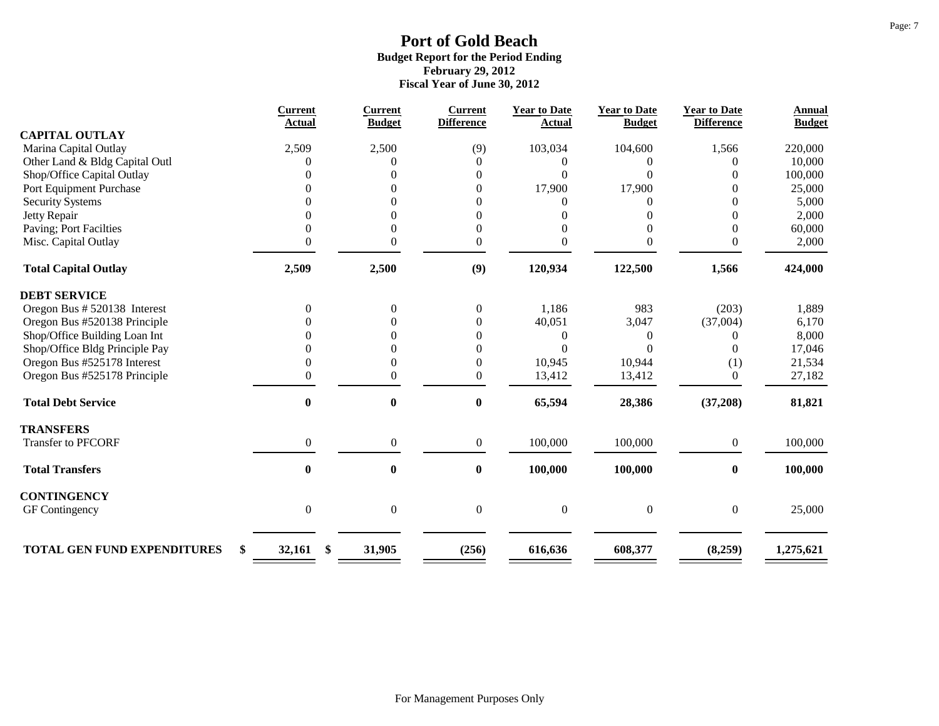|                                          | <b>Current</b>   | <b>Current</b>   | <b>Current</b>    | <b>Year to Date</b> | <b>Year to Date</b> | <b>Year to Date</b> | <b>Annual</b> |
|------------------------------------------|------------------|------------------|-------------------|---------------------|---------------------|---------------------|---------------|
| <b>CAPITAL OUTLAY</b>                    | <b>Actual</b>    | <b>Budget</b>    | <b>Difference</b> | <b>Actual</b>       | <b>Budget</b>       | <b>Difference</b>   | <b>Budget</b> |
| Marina Capital Outlay                    | 2,509            | 2,500            | (9)               | 103,034             | 104,600             | 1,566               | 220,000       |
| Other Land & Bldg Capital Outl           |                  | 0                | $\overline{0}$    | 0                   |                     |                     | 10,000        |
| Shop/Office Capital Outlay               |                  |                  | $\overline{0}$    | $\Omega$            | 0                   |                     | 100,000       |
| Port Equipment Purchase                  |                  | 0                | $\overline{0}$    | 17,900              | 17,900              | 0                   | 25,000        |
| <b>Security Systems</b>                  |                  |                  | $\overline{0}$    | 0                   | 0                   | $\Omega$            | 5,000         |
| Jetty Repair                             |                  |                  | $\overline{0}$    |                     | 0                   | $\theta$            | 2,000         |
| Paving; Port Facilties                   |                  | 0                | $\overline{0}$    |                     | 0                   | $\theta$            | 60,000        |
| Misc. Capital Outlay                     | 0                | 0                | $\boldsymbol{0}$  | 0                   | 0                   | 0                   | 2,000         |
| <b>Total Capital Outlay</b>              | 2,509            | 2,500            | (9)               | 120,934             | 122,500             | 1,566               | 424,000       |
| <b>DEBT SERVICE</b>                      |                  |                  |                   |                     |                     |                     |               |
| Oregon Bus # 520138 Interest             | $\Omega$         | $\overline{0}$   | $\boldsymbol{0}$  | 1,186               | 983                 | (203)               | 1,889         |
| Oregon Bus #520138 Principle             |                  |                  | $\mathbf{0}$      | 40,051              | 3,047               | (37,004)            | 6,170         |
| Shop/Office Building Loan Int            |                  |                  | $\overline{0}$    | $\overline{0}$      | 0                   | 0                   | 8,000         |
| Shop/Office Bldg Principle Pay           |                  | $\Omega$         | $\overline{0}$    | $\Omega$            | 0                   | $\Omega$            | 17,046        |
| Oregon Bus #525178 Interest              |                  | 0                | $\boldsymbol{0}$  | 10,945              | 10,944              | (1)                 | 21,534        |
| Oregon Bus #525178 Principle             | 0                | $\overline{0}$   | $\overline{0}$    | 13,412              | 13,412              | $\overline{0}$      | 27,182        |
| <b>Total Debt Service</b>                | $\bf{0}$         | $\bf{0}$         | $\bf{0}$          | 65,594              | 28,386              | (37,208)            | 81,821        |
| <b>TRANSFERS</b>                         |                  |                  |                   |                     |                     |                     |               |
| <b>Transfer to PFCORF</b>                | $\overline{0}$   | $\boldsymbol{0}$ | $\boldsymbol{0}$  | 100,000             | 100,000             | $\overline{0}$      | 100,000       |
| <b>Total Transfers</b>                   | $\bf{0}$         | $\boldsymbol{0}$ | $\bf{0}$          | 100,000             | 100,000             | $\bf{0}$            | 100,000       |
| <b>CONTINGENCY</b>                       |                  |                  |                   |                     |                     |                     |               |
| GF Contingency                           | $\boldsymbol{0}$ | $\boldsymbol{0}$ | $\boldsymbol{0}$  | $\boldsymbol{0}$    | $\overline{0}$      | $\overline{0}$      | 25,000        |
|                                          |                  |                  |                   |                     |                     |                     |               |
| <b>TOTAL GEN FUND EXPENDITURES</b><br>\$ | 32,161<br>\$     | 31,905           | (256)             | 616,636             | 608,377             | (8,259)             | 1,275,621     |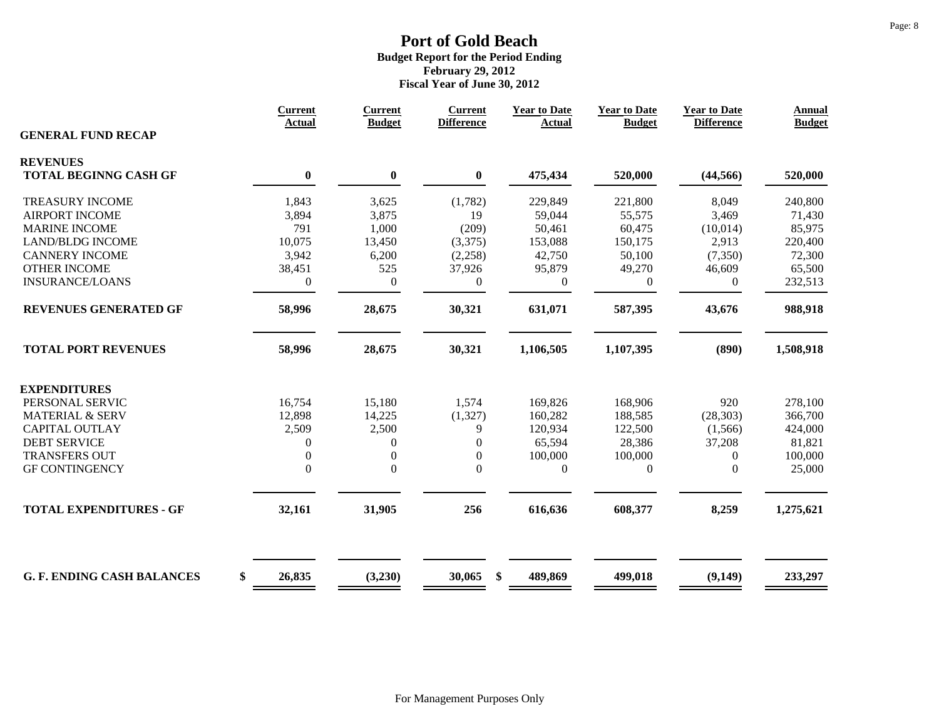|                                   | <b>Current</b><br>Actual | <b>Current</b><br><b>Budget</b> | <b>Current</b><br><b>Difference</b> | <b>Year to Date</b><br><b>Actual</b> | <b>Year to Date</b><br><b>Budget</b> | <b>Year to Date</b><br><b>Difference</b> | <b>Annual</b><br><b>Budget</b> |
|-----------------------------------|--------------------------|---------------------------------|-------------------------------------|--------------------------------------|--------------------------------------|------------------------------------------|--------------------------------|
| <b>GENERAL FUND RECAP</b>         |                          |                                 |                                     |                                      |                                      |                                          |                                |
| <b>REVENUES</b>                   |                          |                                 |                                     |                                      |                                      |                                          |                                |
| <b>TOTAL BEGINNG CASH GF</b>      | $\bf{0}$                 | $\bf{0}$                        | $\bf{0}$                            | 475,434                              | 520,000                              | (44, 566)                                | 520,000                        |
| <b>TREASURY INCOME</b>            | 1,843                    | 3,625                           | (1,782)                             | 229,849                              | 221,800                              | 8,049                                    | 240,800                        |
| <b>AIRPORT INCOME</b>             | 3,894                    | 3,875                           | 19                                  | 59,044                               | 55,575                               | 3,469                                    | 71,430                         |
| <b>MARINE INCOME</b>              | 791                      | 1,000                           | (209)                               | 50,461                               | 60,475                               | (10,014)                                 | 85,975                         |
| <b>LAND/BLDG INCOME</b>           | 10,075                   | 13,450                          | (3,375)                             | 153,088                              | 150,175                              | 2,913                                    | 220,400                        |
| <b>CANNERY INCOME</b>             | 3,942                    | 6,200                           | (2,258)                             | 42,750                               | 50,100                               | (7, 350)                                 | 72,300                         |
| <b>OTHER INCOME</b>               | 38,451                   | 525                             | 37,926                              | 95,879                               | 49,270                               | 46,609                                   | 65,500                         |
| <b>INSURANCE/LOANS</b>            | $\boldsymbol{0}$         | $\boldsymbol{0}$                | $\overline{0}$                      | $\overline{0}$                       | $\overline{0}$                       | $\overline{0}$                           | 232,513                        |
| REVENUES GENERATED GF             | 58,996                   | 28,675                          | 30,321                              | 631,071                              | 587,395                              | 43,676                                   | 988,918                        |
| <b>TOTAL PORT REVENUES</b>        | 58,996                   | 28,675                          | 30,321                              | 1,106,505                            | 1,107,395                            | (890)                                    | 1,508,918                      |
| <b>EXPENDITURES</b>               |                          |                                 |                                     |                                      |                                      |                                          |                                |
| PERSONAL SERVIC                   | 16,754                   | 15,180                          | 1,574                               | 169,826                              | 168,906                              | 920                                      | 278,100                        |
| <b>MATERIAL &amp; SERV</b>        | 12,898                   | 14,225                          | (1, 327)                            | 160,282                              | 188,585                              | (28, 303)                                | 366,700                        |
| <b>CAPITAL OUTLAY</b>             | 2,509                    | 2,500                           | 9                                   | 120,934                              | 122,500                              | (1,566)                                  | 424,000                        |
| <b>DEBT SERVICE</b>               | $\theta$                 | 0                               | $\overline{0}$                      | 65,594                               | 28,386                               | 37,208                                   | 81,821                         |
| <b>TRANSFERS OUT</b>              | $\overline{0}$           | $\overline{0}$                  | $\boldsymbol{0}$                    | 100,000                              | 100,000                              | $\mathbf{0}$                             | 100,000                        |
| <b>GF CONTINGENCY</b>             | $\boldsymbol{0}$         | $\boldsymbol{0}$                | $\mathbf{0}$                        | $\boldsymbol{0}$                     | $\boldsymbol{0}$                     | $\Omega$                                 | 25,000                         |
|                                   |                          |                                 |                                     |                                      |                                      |                                          | 1,275,621                      |
| <b>TOTAL EXPENDITURES - GF</b>    | 32,161                   | 31,905                          | 256                                 | 616,636                              |                                      | 608,377                                  | 8,259                          |
| <b>G. F. ENDING CASH BALANCES</b> | \$<br>26,835             | (3,230)                         | 30,065<br>\$                        | 489,869                              | 499,018                              | (9,149)                                  | 233,297                        |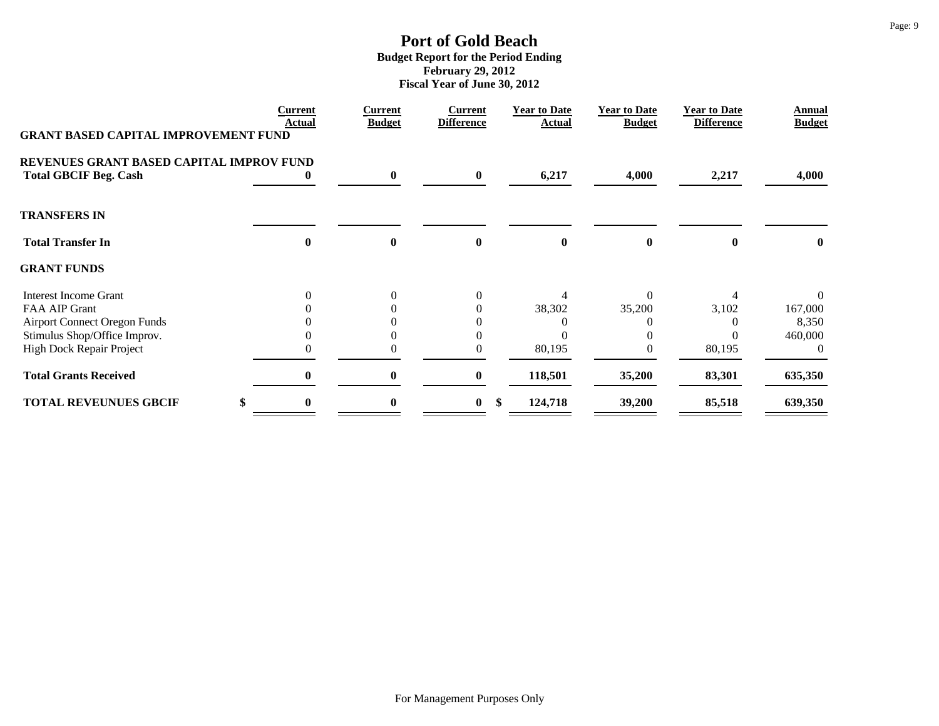|                                             | <b>Current</b><br>Actual | Current<br><b>Budget</b> | <b>Current</b><br><b>Difference</b> | <b>Year to Date</b><br>Actual | <b>Year to Date</b><br><b>Budget</b> | <b>Year to Date</b><br><b>Difference</b> | Annual<br><b>Budget</b> |
|---------------------------------------------|--------------------------|--------------------------|-------------------------------------|-------------------------------|--------------------------------------|------------------------------------------|-------------------------|
| <b>GRANT BASED CAPITAL IMPROVEMENT FUND</b> |                          |                          |                                     |                               |                                      |                                          |                         |
| REVENUES GRANT BASED CAPITAL IMPROV FUND    |                          |                          |                                     |                               |                                      |                                          |                         |
| <b>Total GBCIF Beg. Cash</b>                |                          | $\bf{0}$                 | $\bf{0}$                            | 6,217                         | 4,000                                | 2,217                                    | 4,000                   |
| <b>TRANSFERS IN</b>                         |                          |                          |                                     |                               |                                      |                                          |                         |
| <b>Total Transfer In</b>                    | $\mathbf 0$              | $\mathbf{0}$             | $\bf{0}$                            | $\mathbf{0}$                  | 0                                    |                                          | $\mathbf{0}$            |
| <b>GRANT FUNDS</b>                          |                          |                          |                                     |                               |                                      |                                          |                         |
| <b>Interest Income Grant</b>                |                          | $\theta$                 |                                     |                               | 0                                    |                                          |                         |
| FAA AIP Grant                               |                          | 0                        |                                     | 38,302                        | 35,200                               | 3,102                                    | 167,000                 |
| <b>Airport Connect Oregon Funds</b>         |                          |                          |                                     |                               |                                      |                                          | 8,350                   |
| Stimulus Shop/Office Improv.                |                          | 0                        |                                     |                               |                                      |                                          | 460,000                 |
| <b>High Dock Repair Project</b>             |                          | 0                        |                                     | 80,195                        |                                      | 80,195                                   | $\Omega$                |
| <b>Total Grants Received</b>                | 0                        | $\bf{0}$                 | $\bf{0}$                            | 118,501                       | 35,200                               | 83,301                                   | 635,350                 |
| <b>TOTAL REVEUNUES GBCIF</b>                | 0                        | 0                        | $\bf{0}$                            | \$<br>124,718                 | 39,200                               | 85,518                                   | 639,350                 |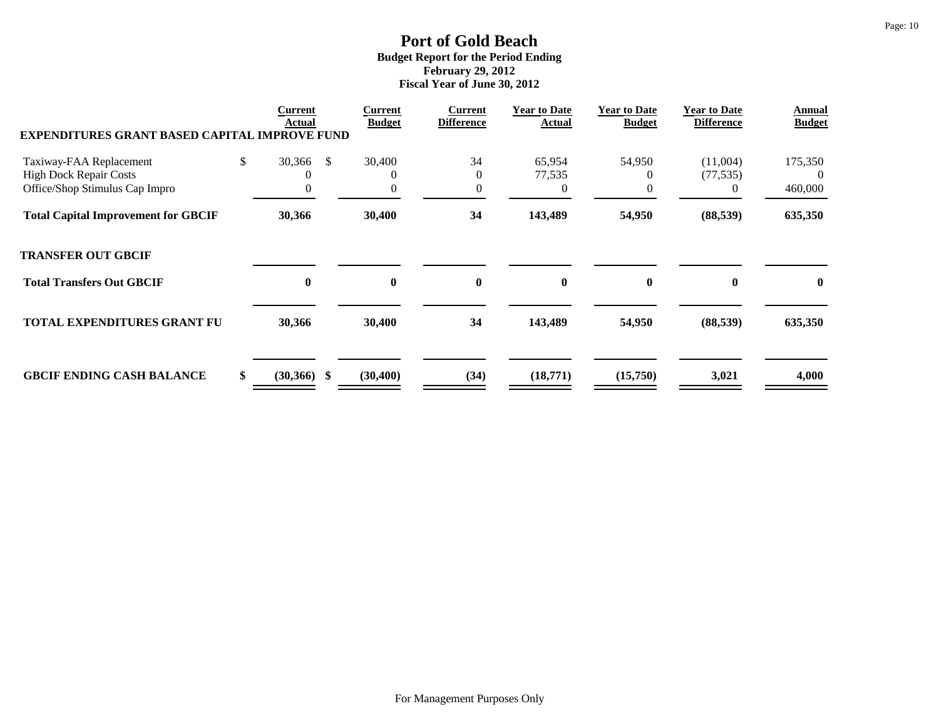| <b>EXPENDITURES GRANT BASED CAPITAL IMPROVE FUND</b> | <b>Current</b><br>Actual |     | <b>Current</b><br><b>Budget</b> | <b>Current</b><br><b>Difference</b> | <b>Year to Date</b><br>Actual | <b>Year to Date</b><br><b>Budget</b> | <b>Year to Date</b><br><b>Difference</b> | Annual<br><b>Budget</b> |
|------------------------------------------------------|--------------------------|-----|---------------------------------|-------------------------------------|-------------------------------|--------------------------------------|------------------------------------------|-------------------------|
| Taxiway-FAA Replacement                              | \$<br>30,366             | - S | 30,400                          | 34                                  | 65,954                        | 54,950                               | (11,004)                                 | 175,350                 |
| <b>High Dock Repair Costs</b>                        | C                        |     | $\theta$                        | $\overline{0}$                      | 77,535                        |                                      | (77, 535)                                | ()                      |
| Office/Shop Stimulus Cap Impro                       |                          |     | $\theta$                        | $\overline{0}$                      | 0                             |                                      | $\theta$                                 | 460,000                 |
| <b>Total Capital Improvement for GBCIF</b>           | 30,366                   |     | 30,400                          | 34                                  | 143,489                       | 54,950                               | (88, 539)                                | 635,350                 |
| <b>TRANSFER OUT GBCIF</b>                            |                          |     |                                 |                                     |                               |                                      |                                          |                         |
| <b>Total Transfers Out GBCIF</b>                     | $\bf{0}$                 |     | $\bf{0}$                        | $\bf{0}$                            | $\bf{0}$                      | $\bf{0}$                             | $\mathbf{0}$                             | $\bf{0}$                |
| <b>TOTAL EXPENDITURES GRANT FU</b>                   | 30,366                   |     | 30,400                          | 34                                  | 143,489                       | 54,950                               | (88, 539)                                | 635,350                 |
| <b>GBCIF ENDING CASH BALANCE</b>                     | \$<br>$(30,366)$ \$      |     | (30, 400)                       | (34)                                | (18,771)                      | (15,750)                             | 3,021                                    | 4,000                   |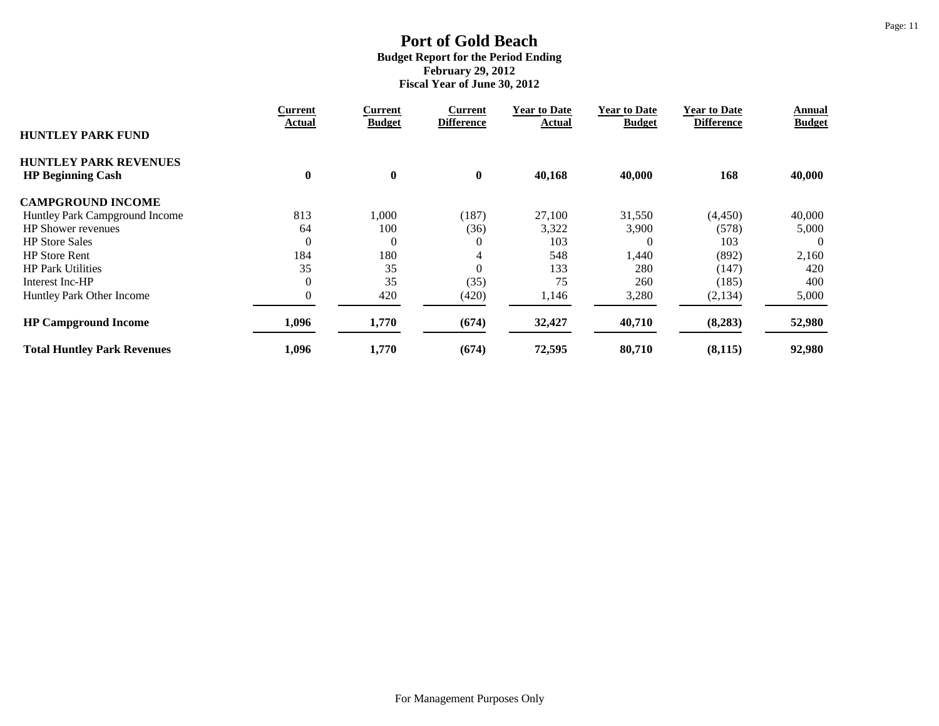|                                    | Current        | Current          | <b>Current</b>    | <b>Year to Date</b> | <b>Year to Date</b> | <b>Year to Date</b> | Annual        |
|------------------------------------|----------------|------------------|-------------------|---------------------|---------------------|---------------------|---------------|
| <b>HUNTLEY PARK FUND</b>           | Actual         | <b>Budget</b>    | <b>Difference</b> | Actual              | <b>Budget</b>       | <b>Difference</b>   | <b>Budget</b> |
| <b>HUNTLEY PARK REVENUES</b>       |                |                  |                   |                     |                     |                     |               |
| <b>HP Beginning Cash</b>           | $\bf{0}$       | $\boldsymbol{0}$ | $\bf{0}$          | 40,168              | 40,000              | 168                 | 40,000        |
| <b>CAMPGROUND INCOME</b>           |                |                  |                   |                     |                     |                     |               |
| Huntley Park Campground Income     | 813            | 000,1            | (187)             | 27,100              | 31,550              | (4, 450)            | 40,000        |
| <b>HP Shower revenues</b>          | 64             | 100              | (36)              | 3,322               | 3,900               | (578)               | 5,000         |
| <b>HP Store Sales</b>              | $\theta$       | $\overline{0}$   | $\overline{0}$    | 103                 | 0                   | 103                 | $\Omega$      |
| <b>HP</b> Store Rent               | 184            | 180              | 4                 | 548                 | 1,440               | (892)               | 2,160         |
| <b>HP Park Utilities</b>           | 35             | 35               | $\Omega$          | 133                 | 280                 | (147)               | 420           |
| Interest Inc-HP                    | $\overline{0}$ | 35               | (35)              | 75                  | 260                 | (185)               | 400           |
| Huntley Park Other Income          | $\theta$       | 420              | (420)             | 1,146               | 3,280               | (2,134)             | 5,000         |
| <b>HP Campground Income</b>        | 1,096          | 1,770            | (674)             | 32,427              | 40,710              | (8,283)             | 52,980        |
| <b>Total Huntley Park Revenues</b> | 1,096          | 1,770            | (674)             | 72,595              | 80,710              | (8, 115)            | 92,980        |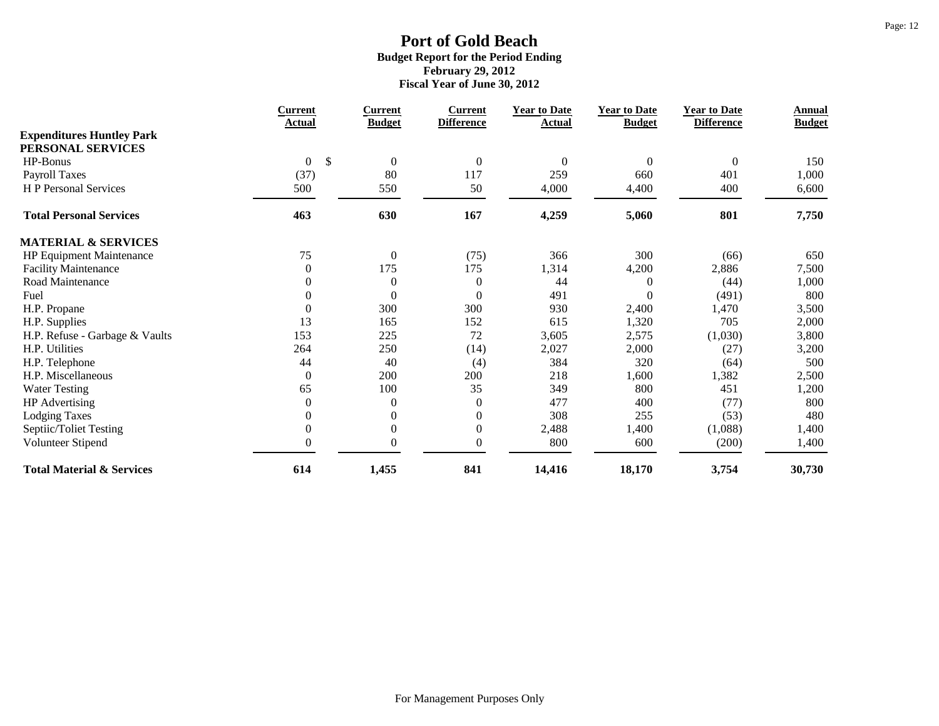|                                      | <b>Current</b>                  | <b>Current</b>   | <b>Current</b>    | <b>Year to Date</b> | <b>Year to Date</b> | <b>Year to Date</b> | <b>Annual</b> |
|--------------------------------------|---------------------------------|------------------|-------------------|---------------------|---------------------|---------------------|---------------|
| <b>Expenditures Huntley Park</b>     | Actual                          | <b>Budget</b>    | <b>Difference</b> | Actual              | <b>Budget</b>       | <b>Difference</b>   | <b>Budget</b> |
| PERSONAL SERVICES                    |                                 |                  |                   |                     |                     |                     |               |
| HP-Bonus                             | $\mathcal{S}$<br>$\overline{0}$ | $\boldsymbol{0}$ | $\boldsymbol{0}$  | $\overline{0}$      | $\mathbf{0}$        | $\overline{0}$      | 150           |
| <b>Payroll Taxes</b>                 | (37)                            | 80               | 117               | 259                 | 660                 | 401                 | 1,000         |
| H P Personal Services                | 500                             | 550              | 50                | 4,000               | 4,400               | 400                 | 6,600         |
| <b>Total Personal Services</b>       | 463                             | 630              | 167               | 4,259               | 5,060               | 801                 | 7,750         |
| <b>MATERIAL &amp; SERVICES</b>       |                                 |                  |                   |                     |                     |                     |               |
| HP Equipment Maintenance             | 75                              | $\boldsymbol{0}$ | (75)              | 366                 | 300                 | (66)                | 650           |
| <b>Facility Maintenance</b>          | $\boldsymbol{0}$                | 175              | 175               | 1,314               | 4,200               | 2,886               | 7,500         |
| Road Maintenance                     | $\overline{0}$                  | $\boldsymbol{0}$ | $\boldsymbol{0}$  | 44                  | 0                   | (44)                | 1,000         |
| Fuel                                 | $\overline{0}$                  | $\overline{0}$   | $\boldsymbol{0}$  | 491                 | $\Omega$            | (491)               | 800           |
| H.P. Propane                         | $\boldsymbol{0}$                | 300              | 300               | 930                 | 2,400               | 1,470               | 3,500         |
| H.P. Supplies                        | 13                              | 165              | 152               | 615                 | 1,320               | 705                 | 2,000         |
| H.P. Refuse - Garbage & Vaults       | 153                             | 225              | 72                | 3,605               | 2,575               | (1,030)             | 3,800         |
| H.P. Utilities                       | 264                             | 250              | (14)              | 2,027               | 2,000               | (27)                | 3,200         |
| H.P. Telephone                       | 44                              | 40               | (4)               | 384                 | 320                 | (64)                | 500           |
| H.P. Miscellaneous                   | $\overline{0}$                  | 200              | 200               | 218                 | 1,600               | 1,382               | 2,500         |
| <b>Water Testing</b>                 | 65                              | 100              | 35                | 349                 | 800                 | 451                 | 1,200         |
| <b>HP</b> Advertising                | $\boldsymbol{0}$                | $\boldsymbol{0}$ | $\boldsymbol{0}$  | 477                 | 400                 | (77)                | 800           |
| <b>Lodging Taxes</b>                 | $\overline{0}$                  | $\mathbf{0}$     | $\boldsymbol{0}$  | 308                 | 255                 | (53)                | 480           |
| Septiic/Toliet Testing               | $\boldsymbol{0}$                | $\boldsymbol{0}$ | $\boldsymbol{0}$  | 2,488               | 1,400               | (1,088)             | 1,400         |
| Volunteer Stipend                    | $\Omega$                        | $\overline{0}$   | $\boldsymbol{0}$  | 800                 | 600                 | (200)               | 1,400         |
| <b>Total Material &amp; Services</b> | 614                             | 1,455            | 841               | 14,416              | 18,170              | 3,754               | 30,730        |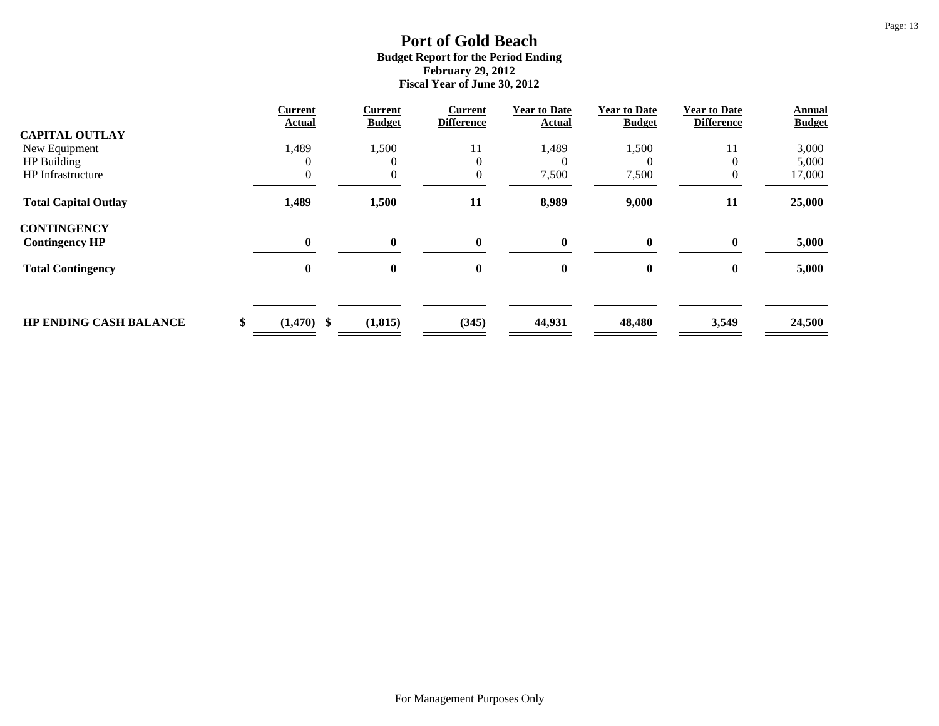| <b>Current</b> | <b>Current</b>         | <b>Current</b>         | <b>Year to Date</b>     | <b>Year to Date</b> | <b>Year to Date</b>    | <b>Annual</b><br><b>Budget</b> |
|----------------|------------------------|------------------------|-------------------------|---------------------|------------------------|--------------------------------|
|                |                        |                        |                         |                     |                        |                                |
|                |                        |                        |                         |                     |                        | 3,000                          |
|                | 0                      | $\theta$               | $\theta$                |                     |                        | 5,000                          |
|                |                        | $\mathbf{0}$           | 7,500                   | 7,500               |                        | 17,000                         |
| 1,489          | 1,500                  | 11                     | 8,989                   | 9,000               | 11                     | 25,000                         |
|                |                        |                        |                         |                     |                        |                                |
| $\mathbf{0}$   | $\mathbf{0}$           | $\mathbf{0}$           | 0                       | $\mathbf{0}$        | $\mathbf{0}$           | 5,000                          |
| $\bf{0}$       | $\bf{0}$               | $\bf{0}$               | $\bf{0}$                | $\bf{0}$            | $\bf{0}$               | 5,000                          |
|                |                        |                        |                         |                     |                        |                                |
| $(1,470)$ \$   | (1, 815)               | (345)                  | 44,931                  | 48,480              | 3,549                  | 24,500                         |
|                | <b>Actual</b><br>1,489 | <b>Budget</b><br>1,500 | <b>Difference</b><br>11 | Actual<br>1,489     | <b>Budget</b><br>1,500 | <b>Difference</b><br>11        |